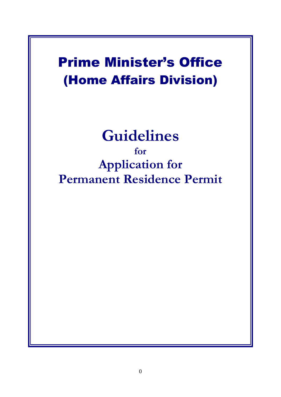## Prime Minister's Office (Home Affairs Division)

# **Guidelines**

**for Application for Permanent Residence Permit**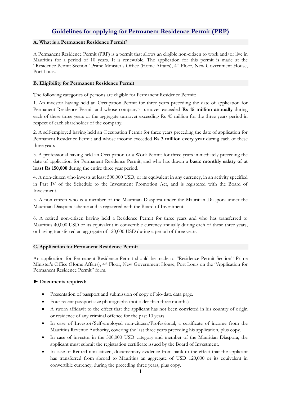### **Guidelines for applying for Permanent Residence Permit (PRP)**

#### **A. What is a Permanent Residence Permit?**

A Permanent Residence Permit (PRP) is a permit that allows an eligible non-citizen to work and/or live in Mauritius for a period of 10 years. It is renewable. The application for this permit is made at the "Residence Permit Section" Prime Minister's Office (Home Affairs), 4<sup>th</sup> Floor, New Government House, Port Louis.

#### **B. Eligibility for Permanent Residence Permit**

The following categories of persons are eligible for Permanent Residence Permit:

1. An investor having held an Occupation Permit for three years preceding the date of application for Permanent Residence Permit and whose company's turnover exceeded **Rs 15 million annually** during each of these three years or the aggregate turnover exceeding Rs 45 million for the three years period in respect of each shareholder of the company.

2. A self-employed having held an Occupation Permit for three years preceding the date of application for Permanent Residence Permit and whose income exceeded **Rs 3 million every year** during each of these three years

3. A professional having held an Occupation or a Work Permit for three years immediately preceding the date of application for Permanent Residence Permit, and who has drawn a **basic monthly salary of at least Rs 150,000** during the entire three year period.

4. A non-citizen who invests at least 500,000 USD, or its equivalent in any currency, in an activity specified in Part IV of the Schedule to the Investment Promotion Act, and is registered with the Board of Investment.

5. A non-citizen who is a member of the Mauritian Diaspora under the Mauritian Diaspora under the Mauritian Diaspora scheme and is registered with the Board of Investment.

6. A retired non-citizen having held a Residence Permit for three years and who has transferred to Mauritius 40,000 USD or its equivalent in convertible currency annually during each of these three years, or having transferred an aggregate of 120,000 USD during a period of three years.

#### **C. Application for Permanent Residence Permit**

An application for Permanent Residence Permit should be made to "Residence Permit Section" Prime Minister's Office (Home Affairs), 4th Floor, New Government House, Port Louis on the "Application for Permanent Residence Permit" form.

#### **► Documents required:**

- Presentation of passport and submission of copy of bio-data data page.
- Four recent passport size photographs (not older than three months)
- A sworn affidavit to the effect that the applicant has not been convicted in his country of origin or residence of any criminal offence for the past 10 years.
- In case of Investor/Self-employed non-citizen/Professional, a certificate of income from the Mauritius Revenue Authority, covering the last three years preceding his application, plus copy.
- In case of investor in the 500,000 USD category and member of the Mauritian Diaspora, the applicant must submit the registration certificate issued by the Board of Investment.
- In case of Retired non-citizen, documentary evidence from bank to the effect that the applicant has transferred from abroad to Mauritius an aggregate of USD 120,000 or its equivalent in convertible currency, during the preceding three years, plus copy.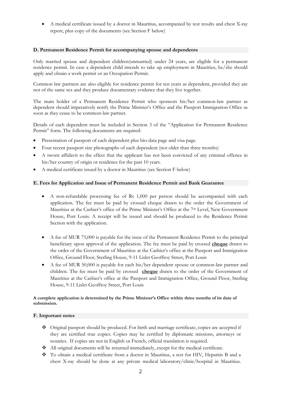A medical certificate issued by a doctor in Mauritius, accompanied by test results and chest X-ray report, plus copy of the documents (see Section F below)

#### **D. Permanent Residence Permit for accompanying spouse and dependents**

Only married spouse and dependent children(unmarried) under 24 years, are eligible for a permanent residence permit. In case a dependent child intends to take up employment in Mauritius, he/she should apply and obtain a work permit or an Occupation Permit.

Common law partners are also eligible for residence permit for ten years as dependent, provided they are not of the same sex and they produce documentary evidence that they live together.

The main holder of a Permanent Residence Permit who sponsors his/her common-law partner as dependent should imperatively notify the Prime Minister's Office and the Passport Immigration Office as soon as they cease to be common-law partner.

Details of each dependent must be included in Section 3 of the "Application for Permanent Residence Permit" form. The following documents are required:

- Presentation of passport of each dependent plus bio-data page and visa page.
- Four recent passport size photographs of each dependent (not older than three months)
- A sworn affidavit to the effect that the applicant has not been convicted of any criminal offence in his/her country of origin or residence for the past 10 years.
- A medical certificate issued by a doctor in Mauritius (see Section F below)

#### **E. Fees for Application and Issue of Permanent Residence Permit and Bank Guarantee**

- A non-refundable processing fee of Rs 1,000 per person should be accompanied with each application. The fee must be paid by crossed cheque drawn to the order the Government of Mauritius at the Cashier's office of the Prime Minister's Office at the 7th Level, New Government House, Port Louis. A receipt will be issued and should be produced to the Residence Permit Section with the application.
- A fee of MUR 75,000 is payable for the issue of the Permanent Residence Permit to the principal beneficiary upon approval of the application. The fee must be paid by crossed **cheque** drawn to the order of the Government of Mauritius at the Cashier's office at the Passport and Immigration Office, Ground Floor, Sterling House, 9-11 Lislet Geoffroy Street, Port Louis
- A fee of MUR 50,000 is payable for each his/her dependent spouse or common-law partner and children. The fee must be paid by crossed **cheque** drawn to the order of the Government of Mauritius at the Cashier's office at the Passport and Immigration Office, Ground Floor, Sterling House, 9-11 Lislet Geoffroy Street, Port Louis

#### **A complete application is determined by the Prime Minister's Office within three months of its date of submission.**

#### **F. Important notes**

- Original passport should be produced. For birth and marriage certificate, copies are accepted if they are certified true copies. Copies may be certified by diplomatic missions, attorneys or notaries. If copies are not in English or French, official translation is required.
- All original documents will be returned immediately, except for the medical certificate.
- To obtain a medical certificate from a doctor in Mauritius, a test for HIV, Hepatitis B and a chest X-ray should be done at any private medical laboratory/clinic/hospital in Mauritius.